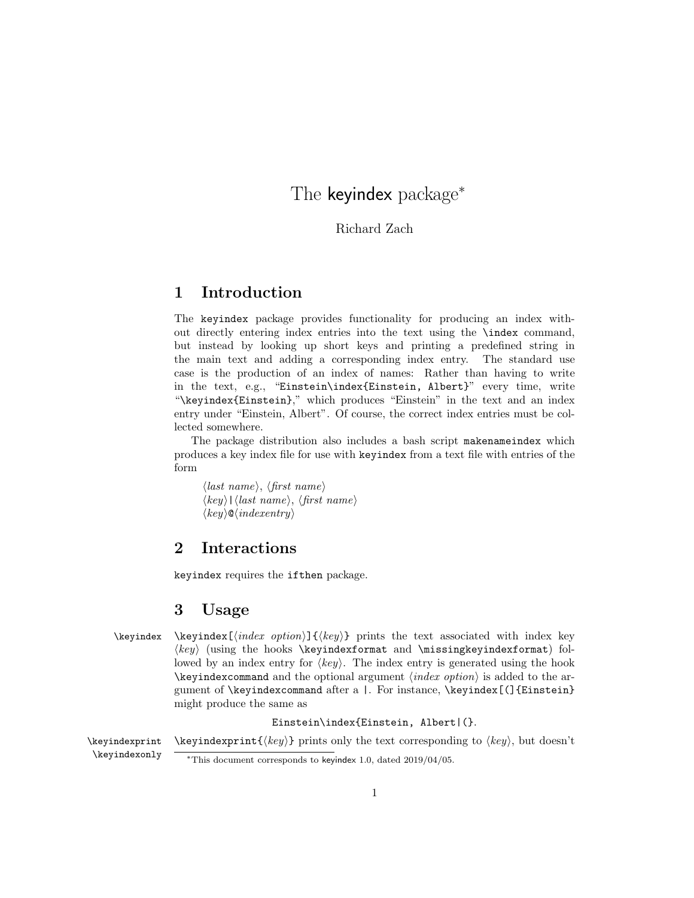# The keyindex package<sup>\*</sup>

[Richard Zach](http://richardzach.org/)

# 1 Introduction

The keyindex package provides functionality for producing an index without directly entering index entries into the text using the \index command, but instead by looking up short keys and printing a predefined string in the main text and adding a corresponding index entry. The standard use case is the production of an index of names: Rather than having to write in the text, e.g., "Einstein\index{Einstein, Albert}" every time, write "\keyindex{Einstein}," which produces "Einstein" in the text and an index entry under "Einstein, Albert". Of course, the correct index entries must be collected somewhere.

The package distribution also includes a bash script makenameindex which produces a key index file for use with keyindex from a text file with entries of the form

 $\langle$ *last name* $\rangle$ ,  $\langle$ *first name* $\rangle$  $\langle key \rangle$ | $\langle last \ name \rangle$ ,  $\langle first \ name \rangle$  $\langle key \rangle \mathsf{Q} \langle \text{indexentry} \rangle$ 

# 2 Interactions

keyindex requires the ifthen package.

# 3 Usage

\keyindex \keyindex  $\{h, \delta\}$ } prints the text associated with index key  $\langle key \rangle$  (using the hooks \keyindexformat and \missingkeyindexformat) followed by an index entry for  $\langle key \rangle$ . The index entry is generated using the hook  $\ker\theta$  and the optional argument  $\langle index\ option \rangle$  is added to the argument of \keyindexcommand after a |. For instance, \keyindex[(]{Einstein} might produce the same as

Einstein\index{Einstein, Albert|(}.

\keyindexprint \keyindexprint{ $\{key\}$  prints only the text corresponding to  $\langle key \rangle$ , but doesn't \keyindexonly <sup>∗</sup>This document corresponds to keyindex 1.0, dated 2019/04/05.

<sup>1</sup>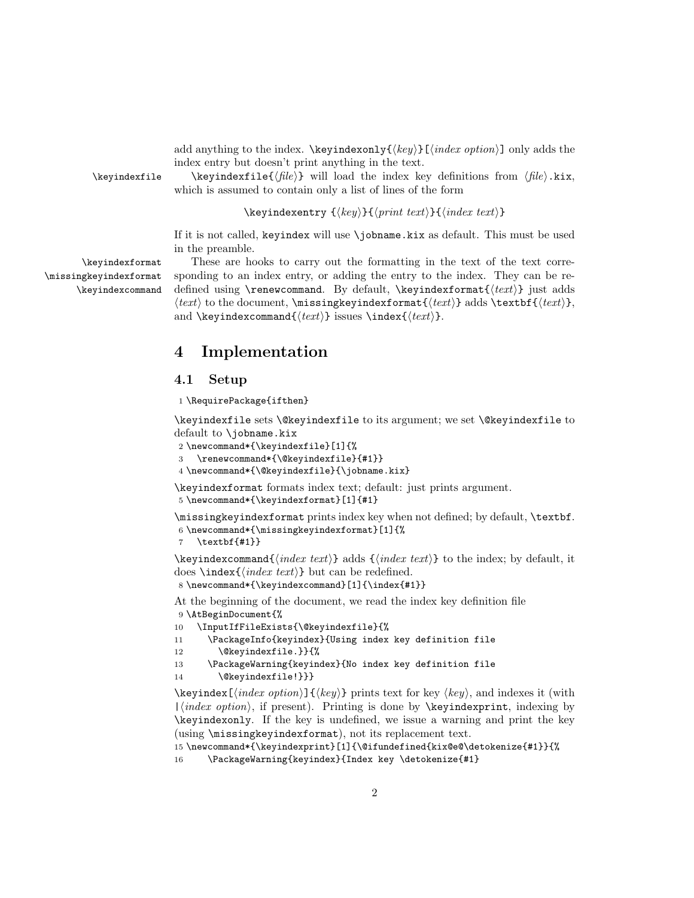add anything to the index. \keyindexonly{ $\{key\}$ [ $\{index option\}$ ] only adds the index entry but doesn't print anything in the text.

\keyindexfile \keyindexfile{ $\{file\}$ } will load the index key definitions from  $\{file\}$ .kix, which is assumed to contain only a list of lines of the form

 $\text{keyindexentry } {\langle key \rangle}{\langle print \ text{\rangle}}{\langle index \ text{\rangle}}$ 

If it is not called, keyindex will use \jobname.kix as default. This must be used in the preamble.

\missingkeyindexformat \keyindexcommand

\keyindexformat These are hooks to carry out the formatting in the text of the text corre sponding to an index entry, or adding the entry to the index. They can be redefined using \renewcommand. By default, \keyindexformat{ $\text{h}$ } just adds  $\langle \text{test} \rangle$  to the document, \missingkeyindexformat $\{ \text{test} \}$ , and \keyindexcommand{ $\text{\texttt{text}}$  issues \index{ $\text{\texttt{text}}$ }.

# 4 Implementation

#### 4.1 Setup

1 \RequirePackage{ifthen}

\keyindexfile sets \@keyindexfile to its argument; we set \@keyindexfile to default to \jobname.kix

```
2 \newcommand*{\keyindexfile}[1]{%
```

```
3 \renewcommand*{\@keyindexfile}{#1}}
```

```
4 \newcommand*{\@keyindexfile}{\jobname.kix}
```
\keyindexformat formats index text; default: just prints argument.

5 \newcommand\*{\keyindexformat}[1]{#1}

\missingkeyindexformat prints index key when not defined; by default, \textbf.

```
6 \newcommand*{\missingkeyindexformat}[1]{%
```
7 \textbf{#1}}

 $\text{keyindexcommand}(\text{index text})$  adds  $\{\langle \text{index text} \rangle\}$  to the index; by default, it does \index { $\langle index \text{ } text \rangle$ } but can be redefined.

8 \newcommand\*{\keyindexcommand}[1]{\index{#1}}

At the beginning of the document, we read the index key definition file 9 \AtBeginDocument{%

```
10 \InputIfFileExists{\@keyindexfile}{%
```

```
11 \PackageInfo{keyindex}{Using index key definition file
```

```
12 \@keyindexfile.}}{%
```

```
13 \PackageWarning{keyindex}{No index key definition file
```
14 \@keyindexfile!}}}

 $\kappa[\infty] \{ \langle key \rangle \}$  prints text for key  $\langle key \rangle$ , and indexes it (with  $|\langle index\ option \rangle$ , if present). Printing is done by **\keyindexprint**, indexing by \keyindexonly. If the key is undefined, we issue a warning and print the key (using \missingkeyindexformat), not its replacement text.

```
15 \newcommand*{\keyindexprint}[1]{\@ifundefined{kix@e@\detokenize{#1}}{%
```

```
16 \PackageWarning{keyindex}{Index key \detokenize{#1}
```